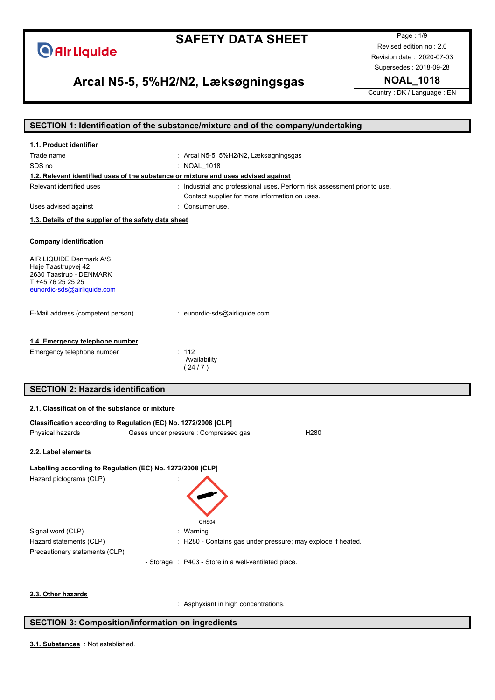

Page : 1/9 Revised edition no : 2.0 Revision date : 2020-07-03

Supersedes : 2018-09-28

# **Arcal N5-5, 5%H2/N2, Læksøgningsgas NOAL\_1018**

Country : DK / Language : EN

|                                                                                    | SECTION 1: Identification of the substance/mixture and of the company/undertaking |  |  |
|------------------------------------------------------------------------------------|-----------------------------------------------------------------------------------|--|--|
| 1.1. Product identifier                                                            |                                                                                   |  |  |
| Trade name                                                                         | : Arcal N5-5, 5%H2/N2, Læksøgningsgas                                             |  |  |
| SDS no                                                                             | : NOAL 1018                                                                       |  |  |
| 1.2. Relevant identified uses of the substance or mixture and uses advised against |                                                                                   |  |  |
| Relevant identified uses                                                           | : Industrial and professional uses. Perform risk assessment prior to use.         |  |  |
|                                                                                    | Contact supplier for more information on uses.                                    |  |  |
| Uses advised against                                                               | : Consumer use.                                                                   |  |  |
| 1.3. Details of the supplier of the safety data sheet                              |                                                                                   |  |  |
|                                                                                    |                                                                                   |  |  |
| <b>Company identification</b>                                                      |                                                                                   |  |  |
| AIR LIQUIDE Denmark A/S                                                            |                                                                                   |  |  |
| Høje Taastrupvej 42                                                                |                                                                                   |  |  |
| 2630 Taastrup - DENMARK<br>T +45 76 25 25 25                                       |                                                                                   |  |  |
| eunordic-sds@airliquide.com                                                        |                                                                                   |  |  |
|                                                                                    |                                                                                   |  |  |
| E-Mail address (competent person)                                                  | : eunordic-sds@airliquide.com                                                     |  |  |
|                                                                                    |                                                                                   |  |  |
| 1.4. Emergency telephone number                                                    |                                                                                   |  |  |
| Emergency telephone number                                                         | : 112                                                                             |  |  |
|                                                                                    | Availability<br>(24/7)                                                            |  |  |
|                                                                                    |                                                                                   |  |  |
| <b>SECTION 2: Hazards identification</b>                                           |                                                                                   |  |  |
| 2.1. Classification of the substance or mixture                                    |                                                                                   |  |  |
| Classification according to Regulation (EC) No. 1272/2008 [CLP]                    |                                                                                   |  |  |
| Physical hazards<br>Gases under pressure : Compressed gas<br>H <sub>280</sub>      |                                                                                   |  |  |
|                                                                                    |                                                                                   |  |  |
| 2.2. Label elements                                                                |                                                                                   |  |  |
| Labelling according to Regulation (EC) No. 1272/2008 [CLP]                         |                                                                                   |  |  |
| Hazard pictograms (CLP)                                                            |                                                                                   |  |  |
|                                                                                    |                                                                                   |  |  |
|                                                                                    |                                                                                   |  |  |
|                                                                                    |                                                                                   |  |  |
|                                                                                    | GHS04                                                                             |  |  |
| Signal word (CLP)                                                                  | : Warning                                                                         |  |  |
| Hazard statements (CLP)                                                            | : H280 - Contains gas under pressure; may explode if heated.                      |  |  |
| Precautionary statements (CLP)                                                     |                                                                                   |  |  |
|                                                                                    | - Storage : P403 - Store in a well-ventilated place.                              |  |  |
|                                                                                    |                                                                                   |  |  |
|                                                                                    |                                                                                   |  |  |
|                                                                                    |                                                                                   |  |  |

#### **2.3. Other hazards**

: Asphyxiant in high concentrations.

### **SECTION 3: Composition/information on ingredients**

: Not established. **3.1. Substances**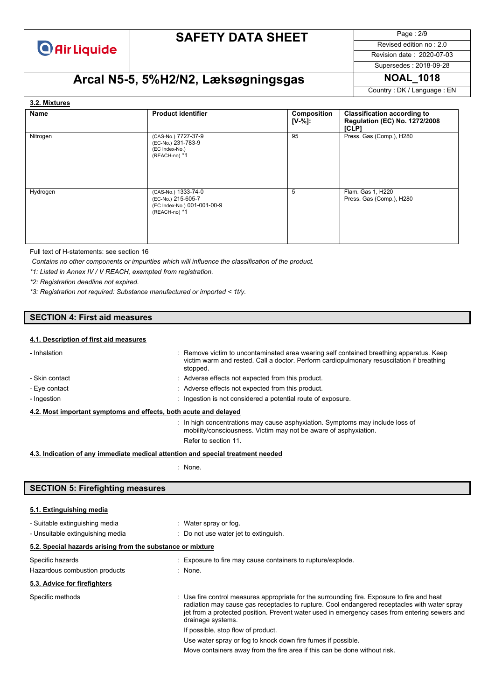

Page : 2/9 Revised edition no : 2.0

Revision date : 2020-07-03

Supersedes : 2018-09-28

# **Arcal N5-5, 5%H2/N2, Læksøgningsgas NOAL\_1018**

Country : DK / Language : EN

#### **3.2. Mixtures**

| Name     | <b>Product identifier</b>                                                                 | Composition<br>$[V-%]:$ | <b>Classification according to</b><br><b>Regulation (EC) No. 1272/2008</b><br>ICLP1 |
|----------|-------------------------------------------------------------------------------------------|-------------------------|-------------------------------------------------------------------------------------|
| Nitrogen | (CAS-No.) 7727-37-9<br>(EC-No.) 231-783-9<br>(EC Index-No.)<br>(REACH-no) *1              | 95                      | Press. Gas (Comp.), H280                                                            |
| Hydrogen | (CAS-No.) 1333-74-0<br>(EC-No.) 215-605-7<br>(EC Index-No.) 001-001-00-9<br>(REACH-no) *1 | 5                       | Flam. Gas 1, H220<br>Press. Gas (Comp.), H280                                       |

Full text of H-statements: see section 16

*Contains no other components or impurities which will influence the classification of the product.*

*\*1: Listed in Annex IV / V REACH, exempted from registration.*

*\*2: Registration deadline not expired.*

*\*3: Registration not required: Substance manufactured or imported < 1t/y.*

### **SECTION 4: First aid measures**

#### **4.1. Description of first aid measures**

| - Inhalation                                                                    | : Remove victim to uncontaminated area wearing self contained breathing apparatus. Keep<br>victim warm and rested. Call a doctor. Perform cardiopulmonary resuscitation if breathing<br>stopped. |  |  |  |  |
|---------------------------------------------------------------------------------|--------------------------------------------------------------------------------------------------------------------------------------------------------------------------------------------------|--|--|--|--|
| - Skin contact                                                                  | : Adverse effects not expected from this product.                                                                                                                                                |  |  |  |  |
| - Eye contact                                                                   | : Adverse effects not expected from this product.                                                                                                                                                |  |  |  |  |
| - Ingestion                                                                     | : Ingestion is not considered a potential route of exposure.                                                                                                                                     |  |  |  |  |
| 4.2. Most important symptoms and effects, both acute and delayed                |                                                                                                                                                                                                  |  |  |  |  |
|                                                                                 | : In high concentrations may cause asphyxiation. Symptoms may include loss of<br>mobility/consciousness. Victim may not be aware of asphyxiation.                                                |  |  |  |  |
|                                                                                 | Refer to section 11.                                                                                                                                                                             |  |  |  |  |
| 4.3. Indication of any immediate medical attention and special treatment needed |                                                                                                                                                                                                  |  |  |  |  |

: None.

### **SECTION 5: Firefighting measures**

#### **5.1. Extinguishing media**

| - Suitable extinguishing media                             | : Water spray or fog.                                                                                                                                                                                                                                                                                             |  |  |  |  |  |
|------------------------------------------------------------|-------------------------------------------------------------------------------------------------------------------------------------------------------------------------------------------------------------------------------------------------------------------------------------------------------------------|--|--|--|--|--|
| - Unsuitable extinguishing media                           | : Do not use water jet to extinguish.                                                                                                                                                                                                                                                                             |  |  |  |  |  |
| 5.2. Special hazards arising from the substance or mixture |                                                                                                                                                                                                                                                                                                                   |  |  |  |  |  |
| Specific hazards                                           | : Exposure to fire may cause containers to rupture/explode.                                                                                                                                                                                                                                                       |  |  |  |  |  |
| Hazardous combustion products                              | $:$ None.                                                                                                                                                                                                                                                                                                         |  |  |  |  |  |
| 5.3. Advice for firefighters                               |                                                                                                                                                                                                                                                                                                                   |  |  |  |  |  |
| Specific methods                                           | : Use fire control measures appropriate for the surrounding fire. Exposure to fire and heat<br>radiation may cause gas receptacles to rupture. Cool endangered receptacles with water spray<br>jet from a protected position. Prevent water used in emergency cases from entering sewers and<br>drainage systems. |  |  |  |  |  |
|                                                            | If possible, stop flow of product.                                                                                                                                                                                                                                                                                |  |  |  |  |  |
|                                                            | Use water spray or fog to knock down fire fumes if possible.                                                                                                                                                                                                                                                      |  |  |  |  |  |
|                                                            | Move containers away from the fire area if this can be done without risk.                                                                                                                                                                                                                                         |  |  |  |  |  |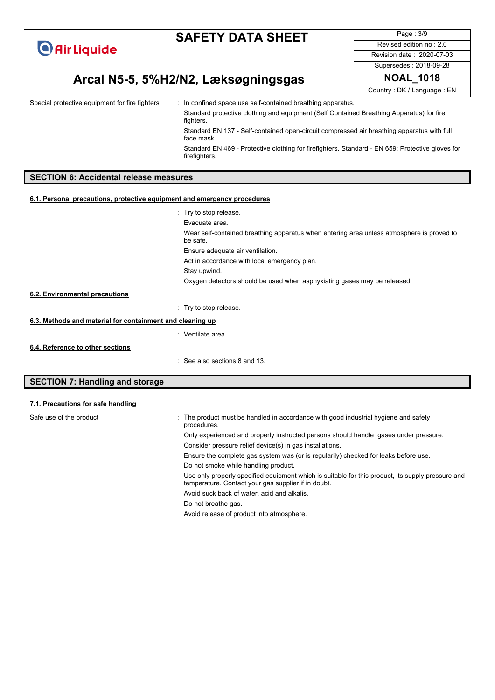| <b>O</b> Air Liquide |  |  |
|----------------------|--|--|
|                      |  |  |

Page : 3/9 Revised edition no : 2.0 Revision date : 2020-07-03

Supersedes : 2018-09-28

# **Arcal N5-5, 5%H2/N2, Læksøgningsgas NOAL\_1018**

Country : DK / Language : EN

Special protective equipment for fire fighters : In confined space use self-contained breathing apparatus.

Standard protective clothing and equipment (Self Contained Breathing Apparatus) for fire fighters.

Standard EN 137 - Self-contained open-circuit compressed air breathing apparatus with full face mask.

Standard EN 469 - Protective clothing for firefighters. Standard - EN 659: Protective gloves for firefighters.

### **SECTION 6: Accidental release measures**

#### **6.1. Personal precautions, protective equipment and emergency procedures**

|                                                                                                                                                                                                                                                                                                                                                                                                                              | : Try to stop release.                                                                                |
|------------------------------------------------------------------------------------------------------------------------------------------------------------------------------------------------------------------------------------------------------------------------------------------------------------------------------------------------------------------------------------------------------------------------------|-------------------------------------------------------------------------------------------------------|
|                                                                                                                                                                                                                                                                                                                                                                                                                              | Evacuate area.                                                                                        |
|                                                                                                                                                                                                                                                                                                                                                                                                                              | Wear self-contained breathing apparatus when entering area unless atmosphere is proved to<br>be safe. |
|                                                                                                                                                                                                                                                                                                                                                                                                                              | Ensure adequate air ventilation.                                                                      |
|                                                                                                                                                                                                                                                                                                                                                                                                                              | Act in accordance with local emergency plan.                                                          |
|                                                                                                                                                                                                                                                                                                                                                                                                                              | Stay upwind.                                                                                          |
|                                                                                                                                                                                                                                                                                                                                                                                                                              | Oxygen detectors should be used when asphyxiating gases may be released.                              |
| 6.2. Environmental precautions                                                                                                                                                                                                                                                                                                                                                                                               |                                                                                                       |
|                                                                                                                                                                                                                                                                                                                                                                                                                              | : Try to stop release.                                                                                |
| 6.3. Methods and material for containment and cleaning up                                                                                                                                                                                                                                                                                                                                                                    |                                                                                                       |
|                                                                                                                                                                                                                                                                                                                                                                                                                              | : Ventilate area.                                                                                     |
| 6.4. Reference to other sections                                                                                                                                                                                                                                                                                                                                                                                             |                                                                                                       |
|                                                                                                                                                                                                                                                                                                                                                                                                                              | : See also sections 8 and 13.                                                                         |
| $\mathbf{A} = \mathbf{A} + \mathbf{B} + \mathbf{C} + \mathbf{A} + \mathbf{A} + \mathbf{A} + \mathbf{A} + \mathbf{A} + \mathbf{A} + \mathbf{A} + \mathbf{A} + \mathbf{A} + \mathbf{A} + \mathbf{A} + \mathbf{A} + \mathbf{A} + \mathbf{A} + \mathbf{A} + \mathbf{A} + \mathbf{A} + \mathbf{A} + \mathbf{A} + \mathbf{A} + \mathbf{A} + \mathbf{A} + \mathbf{A} + \mathbf{A} + \mathbf{A} + \mathbf{A} + \mathbf{A} + \mathbf$ |                                                                                                       |

### **SECTION 7: Handling and storage**

#### **7.1. Precautions for safe handling**

| Safe use of the product | The product must be handled in accordance with good industrial hygiene and safety<br>procedures.                                                         |
|-------------------------|----------------------------------------------------------------------------------------------------------------------------------------------------------|
|                         | Only experienced and properly instructed persons should handle gases under pressure.                                                                     |
|                         | Consider pressure relief device(s) in gas installations.                                                                                                 |
|                         | Ensure the complete gas system was (or is regularily) checked for leaks before use.                                                                      |
|                         | Do not smoke while handling product.                                                                                                                     |
|                         | Use only properly specified equipment which is suitable for this product, its supply pressure and<br>temperature. Contact your gas supplier if in doubt. |
|                         | Avoid suck back of water, acid and alkalis.                                                                                                              |
|                         | Do not breathe gas.                                                                                                                                      |
|                         | Avoid release of product into atmosphere.                                                                                                                |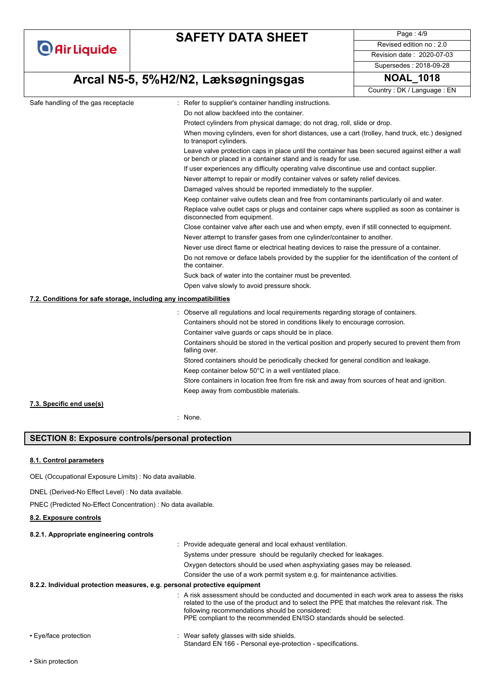|                                                                   | <b>SAFETY DATA SHEET</b>                                                                                                    | Page: 4/9                                                                                                                                                        |  |  |  |  |  |
|-------------------------------------------------------------------|-----------------------------------------------------------------------------------------------------------------------------|------------------------------------------------------------------------------------------------------------------------------------------------------------------|--|--|--|--|--|
| <b>O</b> Air Liquide                                              |                                                                                                                             | Revised edition no: 2.0                                                                                                                                          |  |  |  |  |  |
|                                                                   |                                                                                                                             | Revision date: 2020-07-03                                                                                                                                        |  |  |  |  |  |
|                                                                   |                                                                                                                             | Supersedes: 2018-09-28                                                                                                                                           |  |  |  |  |  |
|                                                                   | Arcal N5-5, 5%H2/N2, Læksøgningsgas                                                                                         | <b>NOAL 1018</b>                                                                                                                                                 |  |  |  |  |  |
|                                                                   |                                                                                                                             | Country: DK / Language: EN                                                                                                                                       |  |  |  |  |  |
| Safe handling of the gas receptacle                               | : Refer to supplier's container handling instructions.                                                                      |                                                                                                                                                                  |  |  |  |  |  |
|                                                                   | Do not allow backfeed into the container.                                                                                   |                                                                                                                                                                  |  |  |  |  |  |
|                                                                   | Protect cylinders from physical damage; do not drag, roll, slide or drop.                                                   |                                                                                                                                                                  |  |  |  |  |  |
|                                                                   | When moving cylinders, even for short distances, use a cart (trolley, hand truck, etc.) designed<br>to transport cylinders. |                                                                                                                                                                  |  |  |  |  |  |
|                                                                   |                                                                                                                             | Leave valve protection caps in place until the container has been secured against either a wall<br>or bench or placed in a container stand and is ready for use. |  |  |  |  |  |
|                                                                   | If user experiences any difficulty operating valve discontinue use and contact supplier.                                    |                                                                                                                                                                  |  |  |  |  |  |
|                                                                   |                                                                                                                             | Never attempt to repair or modify container valves or safety relief devices.                                                                                     |  |  |  |  |  |
|                                                                   | Damaged valves should be reported immediately to the supplier.                                                              |                                                                                                                                                                  |  |  |  |  |  |
|                                                                   |                                                                                                                             | Keep container valve outlets clean and free from contaminants particularly oil and water.                                                                        |  |  |  |  |  |
|                                                                   | disconnected from equipment.                                                                                                | Replace valve outlet caps or plugs and container caps where supplied as soon as container is                                                                     |  |  |  |  |  |
|                                                                   |                                                                                                                             | Close container valve after each use and when empty, even if still connected to equipment.                                                                       |  |  |  |  |  |
|                                                                   | Never attempt to transfer gases from one cylinder/container to another.                                                     |                                                                                                                                                                  |  |  |  |  |  |
|                                                                   |                                                                                                                             | Never use direct flame or electrical heating devices to raise the pressure of a container.                                                                       |  |  |  |  |  |
|                                                                   | the container.                                                                                                              | Do not remove or deface labels provided by the supplier for the identification of the content of                                                                 |  |  |  |  |  |
|                                                                   |                                                                                                                             | Suck back of water into the container must be prevented.                                                                                                         |  |  |  |  |  |
|                                                                   | Open valve slowly to avoid pressure shock.                                                                                  |                                                                                                                                                                  |  |  |  |  |  |
| 7.2. Conditions for safe storage, including any incompatibilities |                                                                                                                             |                                                                                                                                                                  |  |  |  |  |  |
|                                                                   | : Observe all regulations and local requirements regarding storage of containers.                                           |                                                                                                                                                                  |  |  |  |  |  |
|                                                                   | Containers should not be stored in conditions likely to encourage corrosion.                                                |                                                                                                                                                                  |  |  |  |  |  |
|                                                                   | Container valve guards or caps should be in place.                                                                          |                                                                                                                                                                  |  |  |  |  |  |
|                                                                   | Containers should be stored in the vertical position and properly secured to prevent them from<br>falling over.             |                                                                                                                                                                  |  |  |  |  |  |
|                                                                   | Stored containers should be periodically checked for general condition and leakage.                                         |                                                                                                                                                                  |  |  |  |  |  |
|                                                                   | Keep container below 50°C in a well ventilated place.                                                                       |                                                                                                                                                                  |  |  |  |  |  |
|                                                                   | Store containers in location free from fire risk and away from sources of heat and ignition.                                |                                                                                                                                                                  |  |  |  |  |  |
|                                                                   | Keep away from combustible materials.                                                                                       |                                                                                                                                                                  |  |  |  |  |  |
| 7.3. Specific end use(s)                                          |                                                                                                                             |                                                                                                                                                                  |  |  |  |  |  |
|                                                                   | None.                                                                                                                       |                                                                                                                                                                  |  |  |  |  |  |

### **SECTION 8: Exposure controls/personal protection**

### **8.1. Control parameters**

OEL (Occupational Exposure Limits) : No data available.

DNEL (Derived-No Effect Level) : No data available.

PNEC (Predicted No-Effect Concentration) : No data available.

#### **8.2. Exposure controls**

#### **8.2.1. Appropriate engineering controls**

|                       | : Provide adequate general and local exhaust ventilation.                                                                                                                                                                                                                                                             |
|-----------------------|-----------------------------------------------------------------------------------------------------------------------------------------------------------------------------------------------------------------------------------------------------------------------------------------------------------------------|
|                       | Systems under pressure should be regularily checked for leakages.                                                                                                                                                                                                                                                     |
|                       | Oxygen detectors should be used when asphyxiating gases may be released.                                                                                                                                                                                                                                              |
|                       | Consider the use of a work permit system e.g. for maintenance activities.                                                                                                                                                                                                                                             |
|                       | 8.2.2. Individual protection measures, e.g. personal protective equipment                                                                                                                                                                                                                                             |
|                       | A risk assessment should be conducted and documented in each work area to assess the risks<br>related to the use of the product and to select the PPE that matches the relevant risk. The<br>following recommendations should be considered:<br>PPE compliant to the recommended EN/ISO standards should be selected. |
| • Eye/face protection | Wear safety glasses with side shields.                                                                                                                                                                                                                                                                                |

Standard EN 166 - Personal eye-protection - specifications.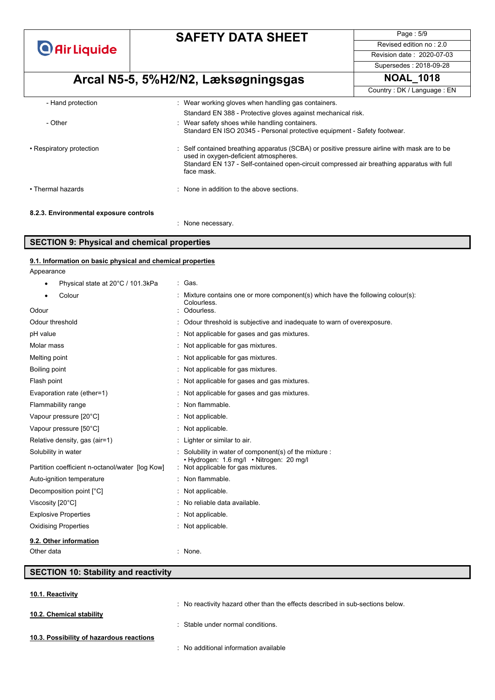**O** Air Liquide

## **SAFETY DATA SHEET**

Page : 5/9 Revised edition no : 2.0 Revision date : 2020-07-03

Supersedes : 2018-09-28

# **Arcal N5-5, 5%H2/N2, Læksøgningsgas NOAL\_1018**

Country : DK / Language : EN

| - Hand protection                     | : Wear working gloves when handling gas containers.                                                                                                                                                                                               |
|---------------------------------------|---------------------------------------------------------------------------------------------------------------------------------------------------------------------------------------------------------------------------------------------------|
|                                       | Standard EN 388 - Protective gloves against mechanical risk.                                                                                                                                                                                      |
| - Other                               | : Wear safety shoes while handling containers.<br>Standard EN ISO 20345 - Personal protective equipment - Safety footwear.                                                                                                                        |
| • Respiratory protection              | : Self contained breathing apparatus (SCBA) or positive pressure airline with mask are to be<br>used in oxygen-deficient atmospheres.<br>Standard EN 137 - Self-contained open-circuit compressed air breathing apparatus with full<br>face mask. |
| • Thermal hazards                     | : None in addition to the above sections.                                                                                                                                                                                                         |
| 8.2.3 Environmental experits controls |                                                                                                                                                                                                                                                   |

#### **8.2.3. Environmental exposure controls**

: None necessary.

#### **SECTION 9: Physical and chemical properties**

| 9.1. Information on basic physical and chemical properties |                                                                                                  |
|------------------------------------------------------------|--------------------------------------------------------------------------------------------------|
| Appearance                                                 |                                                                                                  |
| Physical state at 20°C / 101.3kPa                          | : Gas.                                                                                           |
| Colour                                                     | Mixture contains one or more component(s) which have the following colour(s):<br>Colourless.     |
| Odour                                                      | Odourless.                                                                                       |
| Odour threshold                                            | : Odour threshold is subjective and inadequate to warn of overexposure.                          |
| pH value                                                   | : Not applicable for gases and gas mixtures.                                                     |
| Molar mass                                                 | : Not applicable for gas mixtures.                                                               |
| Melting point                                              | : Not applicable for gas mixtures.                                                               |
| Boiling point                                              | : Not applicable for gas mixtures.                                                               |
| Flash point                                                | : Not applicable for gases and gas mixtures.                                                     |
| Evaporation rate (ether=1)                                 | : Not applicable for gases and gas mixtures.                                                     |
| Flammability range                                         | Non flammable.                                                                                   |
| Vapour pressure [20°C]                                     | : Not applicable.                                                                                |
| Vapour pressure [50°C]                                     | : Not applicable.                                                                                |
| Relative density, gas (air=1)                              | : Lighter or similar to air.                                                                     |
| Solubility in water                                        | Solubility in water of component(s) of the mixture :<br>• Hydrogen: 1.6 mg/l • Nitrogen: 20 mg/l |
| Partition coefficient n-octanol/water [log Kow]            | : Not applicable for gas mixtures.                                                               |
| Auto-ignition temperature                                  | : Non flammable.                                                                                 |
| Decomposition point [°C]                                   | $\therefore$ Not applicable.                                                                     |
| Viscosity [20°C]                                           | : No reliable data available.                                                                    |

# **SECTION 10: Stability and reactivity**

Other data : None.

Explosive Properties **in the Explosive Properties** in the September 2014 of the September 2014 of the September 2014 Oxidising Properties : Not applicable.

**10.1. Reactivity**

**10.2. Chemical stability**

**9.2. Other information**

: No reactivity hazard other than the effects described in sub-sections below.

: Stable under normal conditions.

- **10.3. Possibility of hazardous reactions**
- : No additional information available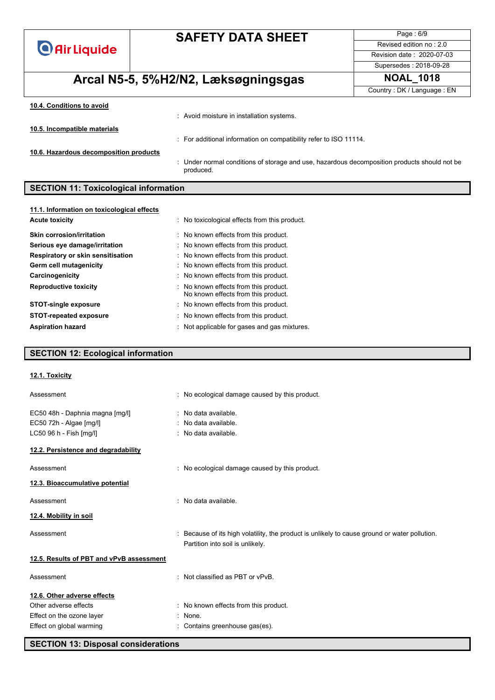| <b>O</b> Air Liquide |  |  |  |  |
|----------------------|--|--|--|--|
|                      |  |  |  |  |

Page : 6/9 Revised edition no : 2.0 Revision date : 2020-07-03

# **Arcal N5-5, 5%H2/N2, Læksøgningsgas NOAL\_1018**

Supersedes : 2018-09-28

Country : DK / Language : EN

| 10.4. Conditions to avoid              |                                                                                                         |
|----------------------------------------|---------------------------------------------------------------------------------------------------------|
|                                        | Avoid moisture in installation systems.                                                                 |
| 10.5. Incompatible materials           |                                                                                                         |
|                                        | : For additional information on compatibility refer to ISO 11114.                                       |
| 10.6. Hazardous decomposition products |                                                                                                         |
|                                        | Under normal conditions of storage and use, hazardous decomposition products should not be<br>produced. |

### **SECTION 11: Toxicological information**

| 11.1. Information on toxicological effects |                                                                              |
|--------------------------------------------|------------------------------------------------------------------------------|
| <b>Acute toxicity</b>                      | : No toxicological effects from this product.                                |
| <b>Skin corrosion/irritation</b>           | : No known effects from this product.                                        |
| Serious eye damage/irritation              | : No known effects from this product.                                        |
| Respiratory or skin sensitisation          | : No known effects from this product.                                        |
| Germ cell mutagenicity                     | : No known effects from this product.                                        |
| Carcinogenicity                            | : No known effects from this product.                                        |
| <b>Reproductive toxicity</b>               | : No known effects from this product.<br>No known effects from this product. |
| <b>STOT-single exposure</b>                | : No known effects from this product.                                        |
| <b>STOT-repeated exposure</b>              | : No known effects from this product.                                        |
| <b>Aspiration hazard</b>                   | : Not applicable for gases and gas mixtures.                                 |

### **SECTION 12: Ecological information**

| : No ecological damage caused by this product.                                                                                  |
|---------------------------------------------------------------------------------------------------------------------------------|
| : No data available.                                                                                                            |
| : No data available.                                                                                                            |
| : No data available.                                                                                                            |
|                                                                                                                                 |
| : No ecological damage caused by this product.                                                                                  |
|                                                                                                                                 |
| : No data available.                                                                                                            |
|                                                                                                                                 |
| Because of its high volatility, the product is unlikely to cause ground or water pollution.<br>Partition into soil is unlikely. |
|                                                                                                                                 |
| : Not classified as PBT or vPvB.                                                                                                |
|                                                                                                                                 |
| : No known effects from this product.                                                                                           |
| : None.                                                                                                                         |
| : Contains greenhouse gas(es).                                                                                                  |
|                                                                                                                                 |

**SECTION 13: Disposal considerations**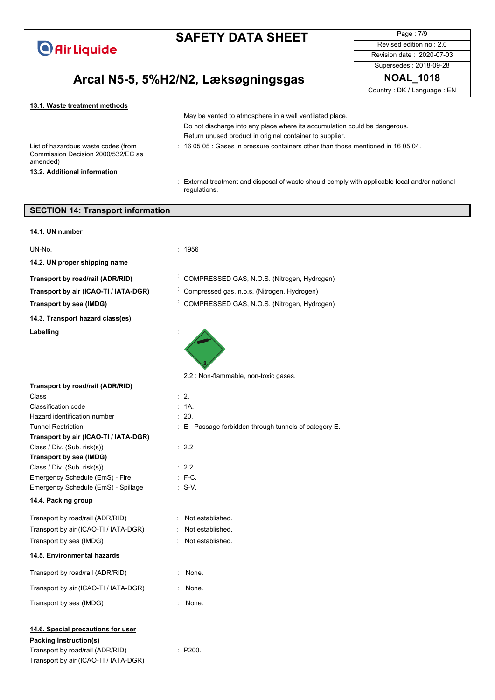**O** Air Liquide

Revised edition no : 2.0 Revision date : 2020-07-03

Page : 7/9

# $A$ rcal N5-5, 5%H2/N2, Læksøgningsgas

| Supersedes: 2018-09-28     |
|----------------------------|
| <b>NOAL 1018</b>           |
| Country: DK / Language: EN |
|                            |

### **13.1. Waste treatment methods**

List of hazardous waste codes (from Commission Decision 2000/532/EC as amended) **13.2. Additional information**

ĺ

Do not discharge into any place where its accumulation could be dangerous. Return unused product in original container to supplier. : 16 05 05 : Gases in pressure containers other than those mentioned in 16 05 04.

May be vented to atmosphere in a well ventilated place.

: External treatment and disposal of waste should comply with applicable local and/or national regulations.

| <b>SECTION 14: Transport information</b>                                  |                                                        |
|---------------------------------------------------------------------------|--------------------------------------------------------|
| 14.1. UN number                                                           |                                                        |
|                                                                           |                                                        |
| UN-No.                                                                    | : 1956                                                 |
| 14.2. UN proper shipping name                                             |                                                        |
| Transport by road/rail (ADR/RID)                                          | COMPRESSED GAS, N.O.S. (Nitrogen, Hydrogen)            |
| Transport by air (ICAO-TI / IATA-DGR)                                     | Compressed gas, n.o.s. (Nitrogen, Hydrogen)            |
| Transport by sea (IMDG)                                                   | COMPRESSED GAS, N.O.S. (Nitrogen, Hydrogen)            |
| 14.3. Transport hazard class(es)                                          |                                                        |
| Labelling                                                                 |                                                        |
|                                                                           | 2.2 : Non-flammable, non-toxic gases.                  |
| Transport by road/rail (ADR/RID)                                          |                                                        |
| Class<br>Classification code                                              | $\therefore$ 2.<br>: 1A.                               |
| Hazard identification number                                              | : 20.                                                  |
| <b>Tunnel Restriction</b>                                                 | : E - Passage forbidden through tunnels of category E. |
| Transport by air (ICAO-TI / IATA-DGR)                                     |                                                        |
| Class / Div. (Sub. risk(s))                                               | $\therefore$ 2.2                                       |
| Transport by sea (IMDG)                                                   |                                                        |
| Class / Div. (Sub. risk(s))                                               | $\therefore$ 2.2                                       |
| Emergency Schedule (EmS) - Fire                                           | $: F-C.$                                               |
| Emergency Schedule (EmS) - Spillage                                       | $: S-V.$                                               |
| 14.4. Packing group                                                       |                                                        |
| Transport by road/rail (ADR/RID)                                          | : Not established.                                     |
| Transport by air (ICAO-TI / IATA-DGR)                                     | Not established.<br>÷.                                 |
| Transport by sea (IMDG)                                                   | Not established.                                       |
| 14.5. Environmental hazards                                               |                                                        |
| Transport by road/rail (ADR/RID)                                          | None.                                                  |
| Transport by air (ICAO-TI / IATA-DGR)                                     | None.<br>÷.                                            |
| Transport by sea (IMDG)                                                   | None.                                                  |
| 14.6. Special precautions for user<br><b>Packing Instruction(s)</b>       |                                                        |
| Transport by road/rail (ADR/RID)<br>Transport by air (ICAO-TI / IATA-DGR) | : P200.                                                |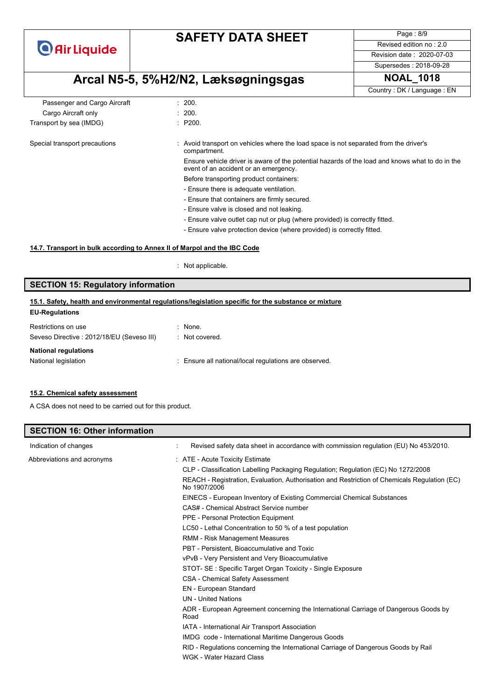**O** Air Liquide

Page : 8/9 Revised edition no : 2.0 Revision date : 2020-07-03

### Supersedes : 2018-09-28

# **Arcal N5-5, 5%H2/N2, Læksøgningsgas NOAL\_1018**

Country : DK / Language : EN

| Passenger and Cargo Aircraft  | : 200.                                                                                                                                   |
|-------------------------------|------------------------------------------------------------------------------------------------------------------------------------------|
| Cargo Aircraft only           | : 200.                                                                                                                                   |
| Transport by sea (IMDG)       | : P200.                                                                                                                                  |
| Special transport precautions | : Avoid transport on vehicles where the load space is not separated from the driver's<br>compartment.                                    |
|                               | Ensure vehicle driver is aware of the potential hazards of the load and knows what to do in the<br>event of an accident or an emergency. |
|                               | Before transporting product containers:                                                                                                  |
|                               | - Ensure there is adequate ventilation.                                                                                                  |
|                               | - Ensure that containers are firmly secured.                                                                                             |
|                               | - Ensure valve is closed and not leaking.                                                                                                |
|                               | - Ensure valve outlet cap nut or plug (where provided) is correctly fitted.                                                              |
|                               | - Ensure valve protection device (where provided) is correctly fitted.                                                                   |

### **14.7. Transport in bulk according to Annex II of Marpol and the IBC Code**

: Not applicable.

### **SECTION 15: Regulatory information**

#### **EU-Regulations 15.1. Safety, health and environmental regulations/legislation specific for the substance or mixture**

| Restrictions on use                       | $:$ None.                                             |
|-------------------------------------------|-------------------------------------------------------|
| Seveso Directive: 2012/18/EU (Seveso III) | : Not covered.                                        |
| <b>National regulations</b>               |                                                       |
| National legislation                      | : Ensure all national/local regulations are observed. |
|                                           |                                                       |

### **15.2. Chemical safety assessment**

A CSA does not need to be carried out for this product.

| <b>SECTION 16: Other information</b> |                                                                                                              |
|--------------------------------------|--------------------------------------------------------------------------------------------------------------|
| Indication of changes                | Revised safety data sheet in accordance with commission regulation (EU) No 453/2010.                         |
| Abbreviations and acronyms           | : ATE - Acute Toxicity Estimate                                                                              |
|                                      | CLP - Classification Labelling Packaging Regulation; Regulation (EC) No 1272/2008                            |
|                                      | REACH - Registration, Evaluation, Authorisation and Restriction of Chemicals Regulation (EC)<br>No 1907/2006 |
|                                      | EINECS - European Inventory of Existing Commercial Chemical Substances                                       |
|                                      | CAS# - Chemical Abstract Service number                                                                      |
|                                      | PPE - Personal Protection Equipment                                                                          |
|                                      | LC50 - Lethal Concentration to 50 % of a test population                                                     |
|                                      | RMM - Risk Management Measures                                                                               |
|                                      | PBT - Persistent, Bioaccumulative and Toxic                                                                  |
|                                      | vPvB - Very Persistent and Very Bioaccumulative                                                              |
|                                      | STOT- SE: Specific Target Organ Toxicity - Single Exposure                                                   |
|                                      | <b>CSA - Chemical Safety Assessment</b>                                                                      |
|                                      | EN - European Standard                                                                                       |
|                                      | <b>UN</b> - United Nations                                                                                   |
|                                      | ADR - European Agreement concerning the International Carriage of Dangerous Goods by<br>Road                 |
|                                      | IATA - International Air Transport Association                                                               |
|                                      | IMDG code - International Maritime Dangerous Goods                                                           |
|                                      | RID - Regulations concerning the International Carriage of Dangerous Goods by Rail                           |
|                                      | WGK - Water Hazard Class                                                                                     |
|                                      |                                                                                                              |